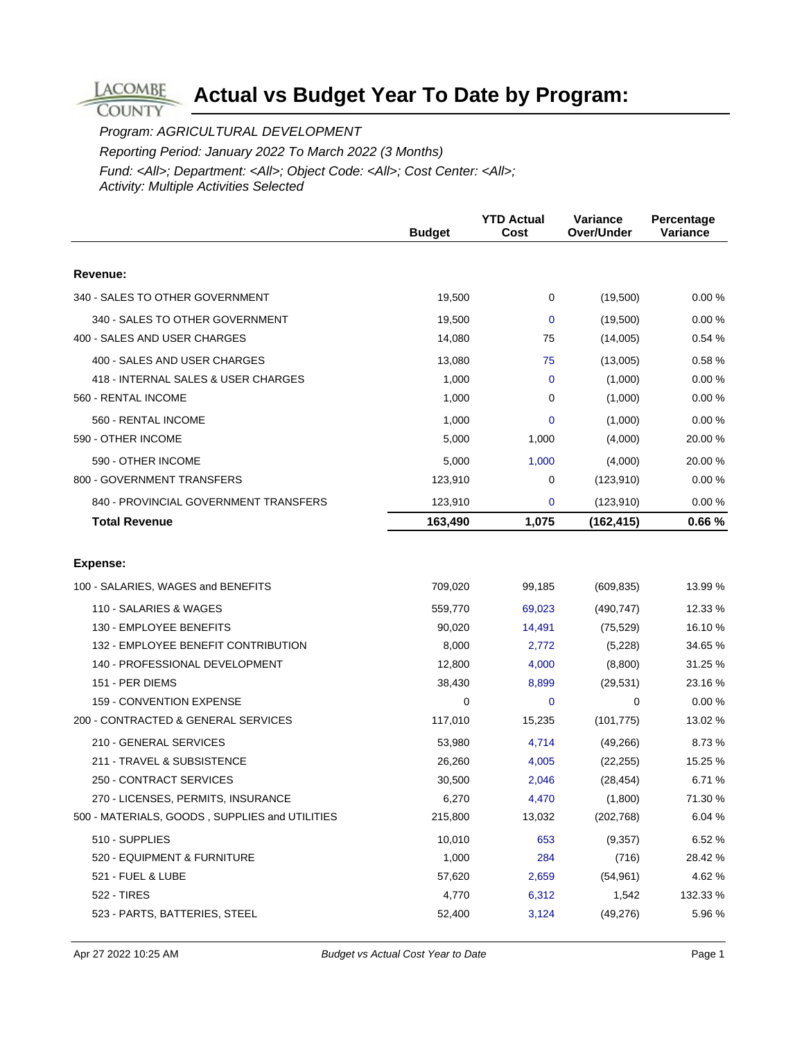Program: AGRICULTURAL DEVELOPMENT

**LACOMBE COUNTY** 

Reporting Period: January 2022 To March 2022 (3 Months)

|                                                | <b>Budget</b> | <b>YTD Actual</b><br>Cost | Variance<br>Over/Under | Percentage<br>Variance |
|------------------------------------------------|---------------|---------------------------|------------------------|------------------------|
|                                                |               |                           |                        |                        |
| Revenue:                                       |               |                           |                        |                        |
| 340 - SALES TO OTHER GOVERNMENT                | 19,500        | 0                         | (19,500)               | 0.00%                  |
| 340 - SALES TO OTHER GOVERNMENT                | 19,500        | $\mathbf 0$               | (19,500)               | 0.00%                  |
| 400 - SALES AND USER CHARGES                   | 14,080        | 75                        | (14,005)               | 0.54 %                 |
| 400 - SALES AND USER CHARGES                   | 13,080        | 75                        | (13,005)               | 0.58%                  |
| 418 - INTERNAL SALES & USER CHARGES            | 1,000         | $\mathbf 0$               | (1,000)                | 0.00%                  |
| 560 - RENTAL INCOME                            | 1,000         | 0                         | (1,000)                | 0.00%                  |
| 560 - RENTAL INCOME                            | 1,000         | 0                         | (1,000)                | 0.00%                  |
| 590 - OTHER INCOME                             | 5,000         | 1,000                     | (4,000)                | 20.00 %                |
| 590 - OTHER INCOME                             | 5,000         | 1,000                     | (4,000)                | 20.00 %                |
| 800 - GOVERNMENT TRANSFERS                     | 123,910       | 0                         | (123, 910)             | 0.00%                  |
| 840 - PROVINCIAL GOVERNMENT TRANSFERS          | 123,910       | 0                         | (123, 910)             | 0.00%                  |
| <b>Total Revenue</b>                           | 163,490       | 1,075                     | (162, 415)             | 0.66%                  |
|                                                |               |                           |                        |                        |
| <b>Expense:</b>                                |               |                           |                        |                        |
| 100 - SALARIES, WAGES and BENEFITS             | 709,020       | 99,185                    | (609, 835)             | 13.99 %                |
| 110 - SALARIES & WAGES                         | 559,770       | 69,023                    | (490, 747)             | 12.33 %                |
| 130 - EMPLOYEE BENEFITS                        | 90,020        | 14,491                    | (75, 529)              | 16.10%                 |
| 132 - EMPLOYEE BENEFIT CONTRIBUTION            | 8,000         | 2,772                     | (5,228)                | 34.65 %                |
| 140 - PROFESSIONAL DEVELOPMENT                 | 12,800        | 4,000                     | (8,800)                | 31.25 %                |
| 151 - PER DIEMS                                | 38,430        | 8,899                     | (29, 531)              | 23.16 %                |
| 159 - CONVENTION EXPENSE                       | 0             | $\mathbf 0$               | 0                      | 0.00%                  |
| 200 - CONTRACTED & GENERAL SERVICES            | 117,010       | 15,235                    | (101, 775)             | 13.02 %                |
| 210 - GENERAL SERVICES                         | 53,980        | 4,714                     | (49, 266)              | 8.73%                  |
| 211 - TRAVEL & SUBSISTENCE                     | 26,260        | 4,005                     | (22, 255)              | 15.25 %                |
| 250 - CONTRACT SERVICES                        | 30,500        | 2,046                     | (28, 454)              | 6.71%                  |
| 270 - LICENSES, PERMITS, INSURANCE             | 6,270         | 4,470                     | (1,800)                | 71.30 %                |
| 500 - MATERIALS, GOODS, SUPPLIES and UTILITIES | 215,800       | 13,032                    | (202, 768)             | 6.04%                  |
| 510 - SUPPLIES                                 | 10,010        | 653                       | (9,357)                | 6.52 %                 |
| 520 - EQUIPMENT & FURNITURE                    | 1,000         | 284                       | (716)                  | 28.42 %                |
| 521 - FUEL & LUBE                              | 57,620        | 2,659                     | (54, 961)              | 4.62%                  |
| 522 - TIRES                                    | 4,770         | 6,312                     | 1,542                  | 132.33 %               |
| 523 - PARTS, BATTERIES, STEEL                  | 52,400        | 3,124                     | (49, 276)              | 5.96 %                 |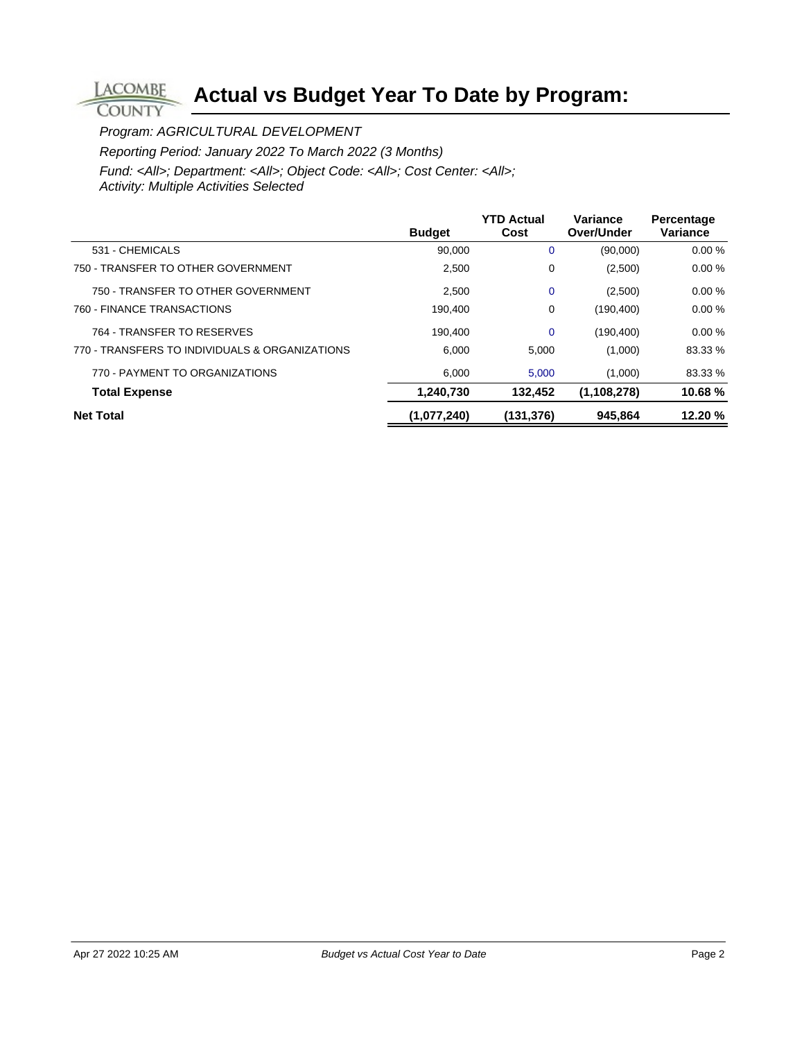Program: AGRICULTURAL DEVELOPMENT

**LACOMBE COUNTY** 

Reporting Period: January 2022 To March 2022 (3 Months)

|                                                | <b>Budget</b> | <b>YTD Actual</b><br>Cost | Variance<br>Over/Under | Percentage<br>Variance |
|------------------------------------------------|---------------|---------------------------|------------------------|------------------------|
| 531 - CHEMICALS                                | 90,000        | 0                         | (90,000)               | 0.00%                  |
| 750 - TRANSFER TO OTHER GOVERNMENT             | 2,500         | 0                         | (2,500)                | 0.00%                  |
| 750 - TRANSFER TO OTHER GOVERNMENT             | 2,500         | $\mathbf 0$               | (2,500)                | 0.00%                  |
| 760 - FINANCE TRANSACTIONS                     | 190.400       | 0                         | (190, 400)             | 0.00%                  |
| 764 - TRANSFER TO RESERVES                     | 190.400       | $\Omega$                  | (190, 400)             | 0.00%                  |
| 770 - TRANSFERS TO INDIVIDUALS & ORGANIZATIONS | 6.000         | 5.000                     | (1,000)                | 83.33 %                |
| 770 - PAYMENT TO ORGANIZATIONS                 | 6.000         | 5.000                     | (1,000)                | 83.33 %                |
| <b>Total Expense</b>                           | 1,240,730     | 132.452                   | (1, 108, 278)          | 10.68%                 |
| <b>Net Total</b>                               | (1,077,240)   | (131,376)                 | 945.864                | 12.20%                 |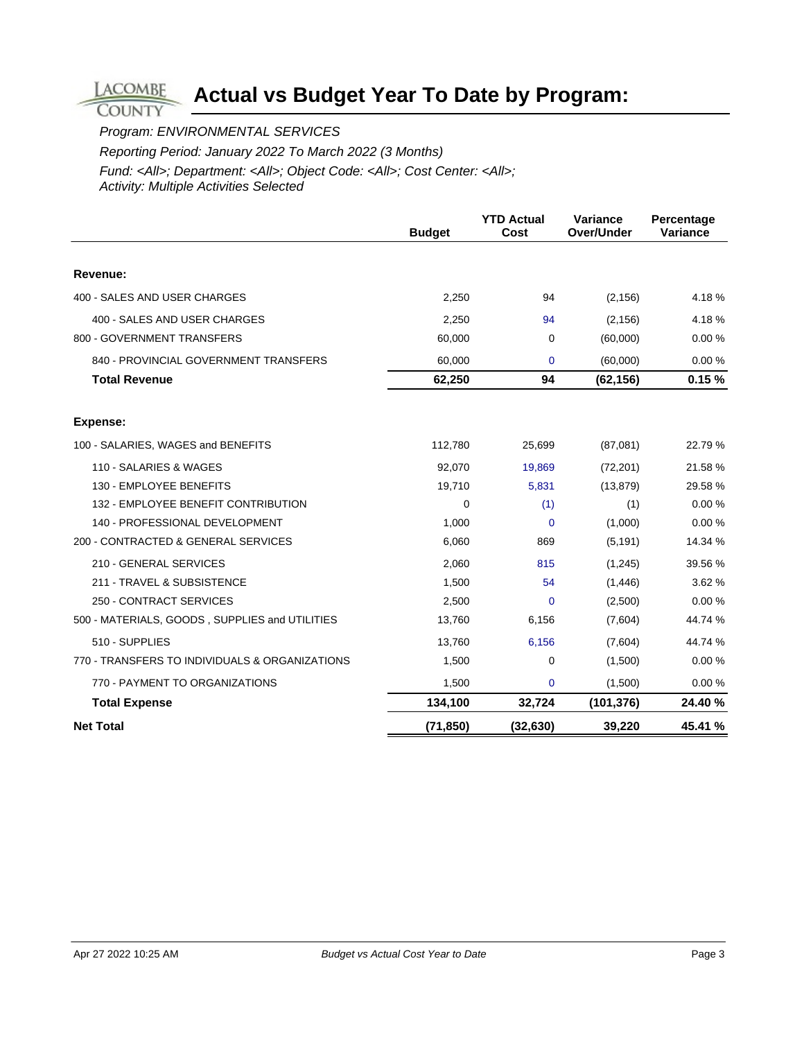Program: ENVIRONMENTAL SERVICES

**LACOMBE COUNTY** 

Reporting Period: January 2022 To March 2022 (3 Months)

|                                                | <b>Budget</b> | <b>YTD Actual</b><br>Cost | Variance<br>Over/Under | Percentage<br>Variance |
|------------------------------------------------|---------------|---------------------------|------------------------|------------------------|
|                                                |               |                           |                        |                        |
| Revenue:                                       |               |                           |                        |                        |
| 400 - SALES AND USER CHARGES                   | 2,250         | 94                        | (2, 156)               | 4.18%                  |
| 400 - SALES AND USER CHARGES                   | 2,250         | 94                        | (2, 156)               | 4.18%                  |
| 800 - GOVERNMENT TRANSFERS                     | 60,000        | 0                         | (60,000)               | 0.00%                  |
| 840 - PROVINCIAL GOVERNMENT TRANSFERS          | 60,000        | $\Omega$                  | (60,000)               | 0.00%                  |
| <b>Total Revenue</b>                           | 62,250        | 94                        | (62, 156)              | 0.15%                  |
| <b>Expense:</b>                                |               |                           |                        |                        |
| 100 - SALARIES, WAGES and BENEFITS             | 112,780       | 25,699                    | (87,081)               | 22.79 %                |
| 110 - SALARIES & WAGES                         | 92,070        | 19,869                    | (72, 201)              | 21.58 %                |
| 130 - EMPLOYEE BENEFITS                        | 19,710        | 5,831                     | (13, 879)              | 29.58 %                |
| 132 - EMPLOYEE BENEFIT CONTRIBUTION            | $\Omega$      | (1)                       | (1)                    | 0.00%                  |
| 140 - PROFESSIONAL DEVELOPMENT                 | 1,000         | $\Omega$                  | (1,000)                | 0.00%                  |
| 200 - CONTRACTED & GENERAL SERVICES            | 6,060         | 869                       | (5, 191)               | 14.34 %                |
| 210 - GENERAL SERVICES                         | 2,060         | 815                       | (1,245)                | 39.56 %                |
| 211 - TRAVEL & SUBSISTENCE                     | 1,500         | 54                        | (1,446)                | 3.62 %                 |
| 250 - CONTRACT SERVICES                        | 2,500         | $\Omega$                  | (2,500)                | 0.00%                  |
| 500 - MATERIALS, GOODS, SUPPLIES and UTILITIES | 13,760        | 6,156                     | (7,604)                | 44.74 %                |
| 510 - SUPPLIES                                 | 13,760        | 6,156                     | (7,604)                | 44.74 %                |
| 770 - TRANSFERS TO INDIVIDUALS & ORGANIZATIONS | 1,500         | 0                         | (1,500)                | 0.00%                  |
| 770 - PAYMENT TO ORGANIZATIONS                 | 1,500         | 0                         | (1,500)                | 0.00%                  |
| <b>Total Expense</b>                           | 134,100       | 32,724                    | (101, 376)             | 24.40 %                |
| <b>Net Total</b>                               | (71, 850)     | (32, 630)                 | 39,220                 | 45.41 %                |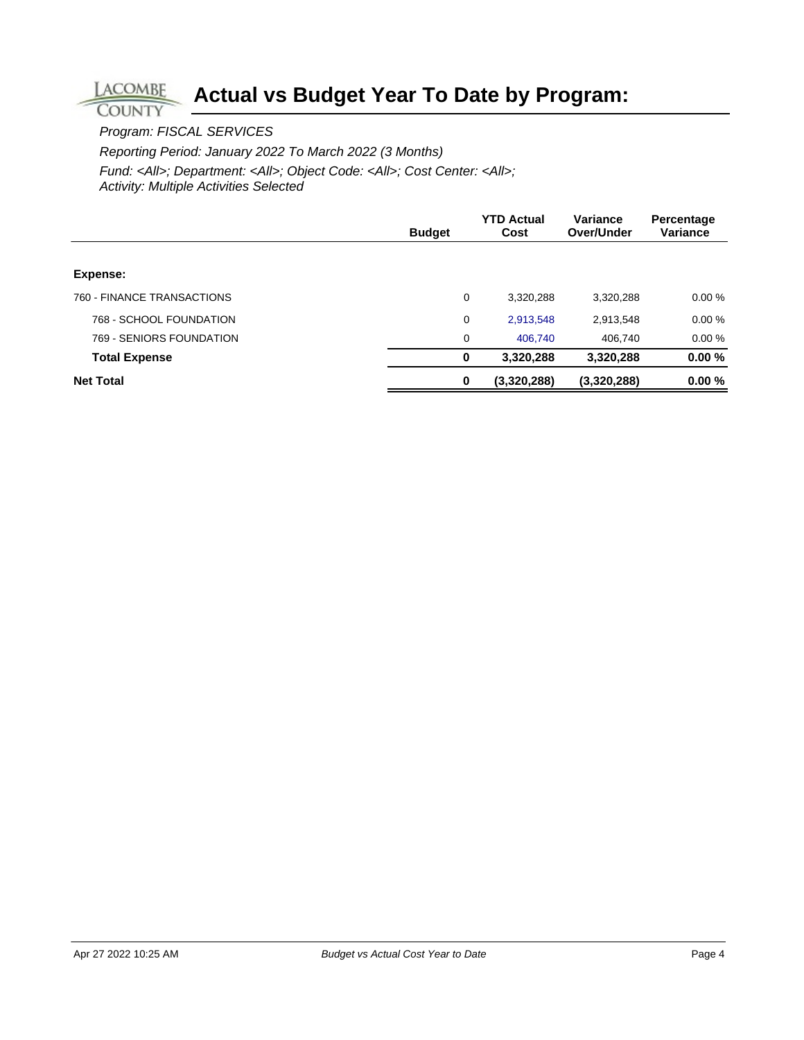Program: FISCAL SERVICES

**LACOMBE COUNTY** 

Reporting Period: January 2022 To March 2022 (3 Months)

|                            | <b>Budget</b> | <b>YTD Actual</b><br>Cost | Variance<br>Over/Under | Percentage<br>Variance |
|----------------------------|---------------|---------------------------|------------------------|------------------------|
|                            |               |                           |                        |                        |
| Expense:                   |               |                           |                        |                        |
| 760 - FINANCE TRANSACTIONS | 0             | 3,320,288                 | 3,320,288              | 0.00%                  |
| 768 - SCHOOL FOUNDATION    | 0             | 2,913,548                 | 2,913,548              | 0.00%                  |
| 769 - SENIORS FOUNDATION   | 0             | 406.740                   | 406.740                | 0.00%                  |
| <b>Total Expense</b>       | $\mathbf 0$   | 3,320,288                 | 3,320,288              | 0.00%                  |
| <b>Net Total</b>           | $\bf{0}$      | (3,320,288)               | (3,320,288)            | 0.00%                  |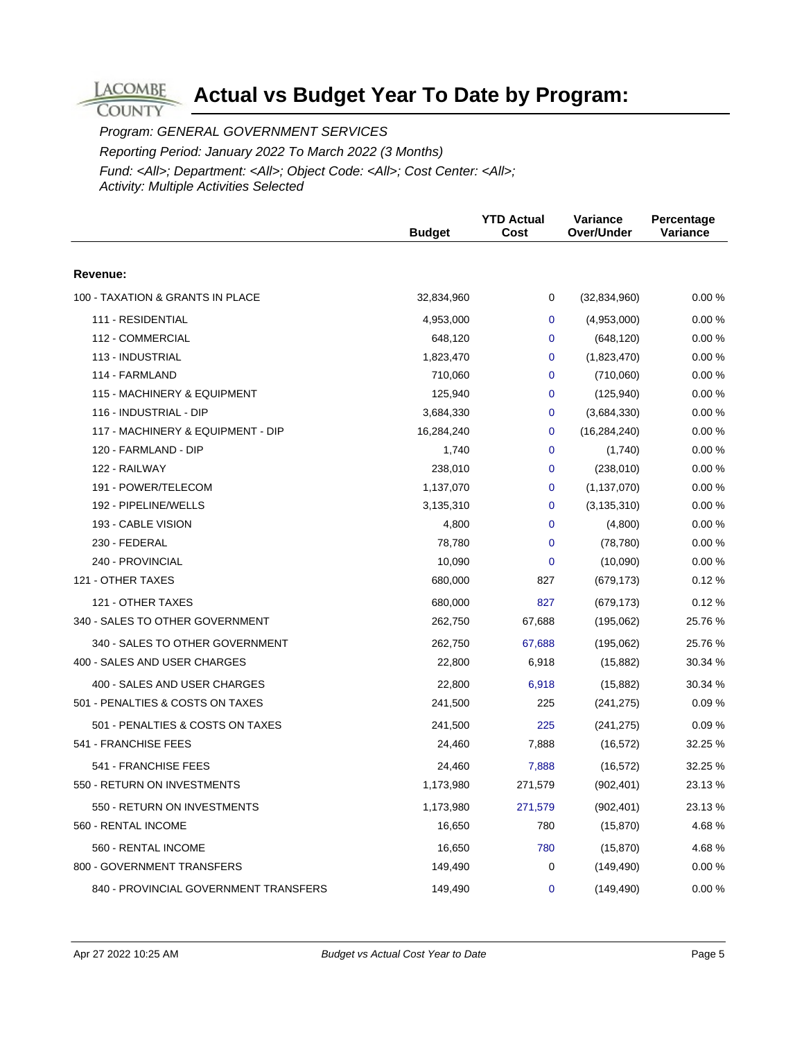Program: GENERAL GOVERNMENT SERVICES Reporting Period: January 2022 To March 2022 (3 Months) Fund: <All>; Department: <All>; Object Code: <All>; Cost Center: <All>; Activity: Multiple Activities Selected

|                                       | <b>Budget</b> | <b>YTD Actual</b><br>Cost | <b>Variance</b><br>Over/Under | Percentage<br>Variance |
|---------------------------------------|---------------|---------------------------|-------------------------------|------------------------|
| Revenue:                              |               |                           |                               |                        |
| 100 - TAXATION & GRANTS IN PLACE      | 32,834,960    | 0                         | (32, 834, 960)                | 0.00%                  |
| 111 - RESIDENTIAL                     | 4,953,000     | $\mathbf 0$               | (4,953,000)                   | 0.00%                  |
| 112 - COMMERCIAL                      | 648,120       | $\mathbf 0$               | (648, 120)                    | 0.00%                  |
| 113 - INDUSTRIAL                      | 1,823,470     | 0                         | (1,823,470)                   | 0.00%                  |
| 114 - FARMLAND                        | 710,060       | 0                         | (710,060)                     | 0.00%                  |
| 115 - MACHINERY & EQUIPMENT           | 125,940       | 0                         | (125, 940)                    | 0.00%                  |
| 116 - INDUSTRIAL - DIP                | 3,684,330     | 0                         | (3,684,330)                   | 0.00%                  |
| 117 - MACHINERY & EQUIPMENT - DIP     | 16,284,240    | 0                         | (16, 284, 240)                | 0.00%                  |
| 120 - FARMLAND - DIP                  | 1,740         | $\mathbf 0$               | (1,740)                       | 0.00%                  |
| 122 - RAILWAY                         | 238,010       | 0                         | (238,010)                     | 0.00%                  |
| 191 - POWER/TELECOM                   | 1,137,070     | 0                         | (1, 137, 070)                 | 0.00%                  |
| 192 - PIPELINE/WELLS                  | 3,135,310     | 0                         | (3, 135, 310)                 | 0.00%                  |
| 193 - CABLE VISION                    | 4,800         | 0                         | (4,800)                       | 0.00%                  |
| 230 - FEDERAL                         | 78,780        | 0                         | (78, 780)                     | 0.00%                  |
| 240 - PROVINCIAL                      | 10,090        | 0                         | (10,090)                      | 0.00%                  |
| 121 - OTHER TAXES                     | 680,000       | 827                       | (679, 173)                    | 0.12%                  |
| 121 - OTHER TAXES                     | 680,000       | 827                       | (679, 173)                    | 0.12%                  |
| 340 - SALES TO OTHER GOVERNMENT       | 262,750       | 67,688                    | (195,062)                     | 25.76 %                |
| 340 - SALES TO OTHER GOVERNMENT       | 262,750       | 67,688                    | (195,062)                     | 25.76 %                |
| 400 - SALES AND USER CHARGES          | 22,800        | 6,918                     | (15, 882)                     | 30.34 %                |
| 400 - SALES AND USER CHARGES          | 22,800        | 6,918                     | (15, 882)                     | 30.34 %                |
| 501 - PENALTIES & COSTS ON TAXES      | 241,500       | 225                       | (241, 275)                    | 0.09%                  |
| 501 - PENALTIES & COSTS ON TAXES      | 241,500       | 225                       | (241, 275)                    | 0.09%                  |
| 541 - FRANCHISE FEES                  | 24,460        | 7,888                     | (16, 572)                     | 32.25 %                |
| 541 - FRANCHISE FEES                  | 24,460        | 7,888                     | (16, 572)                     | 32.25 %                |
| 550 - RETURN ON INVESTMENTS           | 1,173,980     | 271,579                   | (902, 401)                    | 23.13 %                |
| 550 - RETURN ON INVESTMENTS           | 1,173,980     | 271,579                   | (902, 401)                    | 23.13 %                |
| 560 - RENTAL INCOME                   | 16,650        | 780                       | (15, 870)                     | 4.68%                  |
| 560 - RENTAL INCOME                   | 16,650        | 780                       | (15, 870)                     | 4.68%                  |
| 800 - GOVERNMENT TRANSFERS            | 149,490       | 0                         | (149, 490)                    | 0.00 %                 |
| 840 - PROVINCIAL GOVERNMENT TRANSFERS | 149,490       | 0                         | (149, 490)                    | 0.00 %                 |

**LACOMBE COUNTY**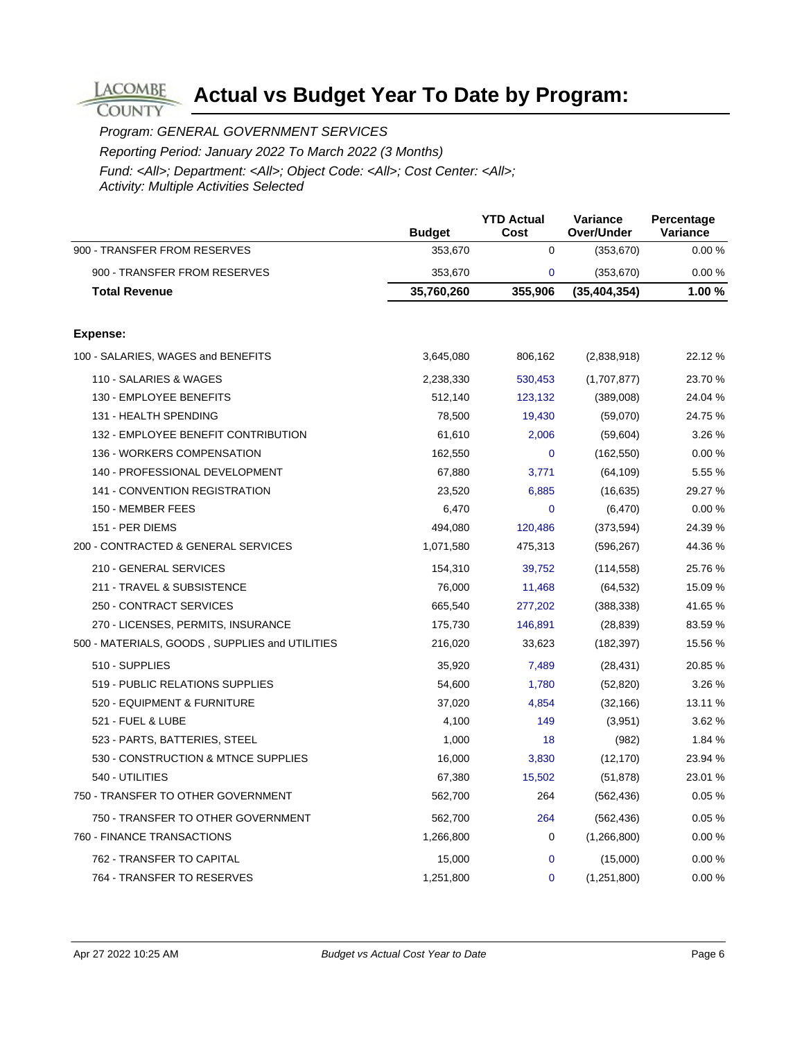Program: GENERAL GOVERNMENT SERVICES

**LACOMBE COUNTY** 

Reporting Period: January 2022 To March 2022 (3 Months)

|                                                | <b>Budget</b> | <b>YTD Actual</b><br>Cost | Variance<br>Over/Under | Percentage<br>Variance |
|------------------------------------------------|---------------|---------------------------|------------------------|------------------------|
| 900 - TRANSFER FROM RESERVES                   | 353,670       | $\mathbf 0$               | (353, 670)             | 0.00%                  |
| 900 - TRANSFER FROM RESERVES                   | 353,670       | $\mathbf 0$               | (353, 670)             | 0.00%                  |
| <b>Total Revenue</b>                           | 35,760,260    | 355,906                   | (35, 404, 354)         | 1.00 %                 |
| Expense:                                       |               |                           |                        |                        |
| 100 - SALARIES, WAGES and BENEFITS             | 3,645,080     | 806,162                   | (2,838,918)            | 22.12 %                |
| 110 - SALARIES & WAGES                         | 2,238,330     | 530,453                   | (1,707,877)            | 23.70 %                |
| 130 - EMPLOYEE BENEFITS                        | 512,140       | 123,132                   | (389,008)              | 24.04 %                |
| 131 - HEALTH SPENDING                          | 78,500        | 19,430                    | (59,070)               | 24.75 %                |
| 132 - EMPLOYEE BENEFIT CONTRIBUTION            | 61,610        | 2,006                     | (59, 604)              | 3.26 %                 |
| 136 - WORKERS COMPENSATION                     | 162,550       | $\mathbf{0}$              | (162, 550)             | 0.00%                  |
| 140 - PROFESSIONAL DEVELOPMENT                 | 67,880        | 3,771                     | (64, 109)              | 5.55 %                 |
| <b>141 - CONVENTION REGISTRATION</b>           | 23,520        | 6,885                     | (16, 635)              | 29.27 %                |
| 150 - MEMBER FEES                              | 6,470         | $\mathbf{0}$              | (6, 470)               | 0.00%                  |
| 151 - PER DIEMS                                | 494,080       | 120,486                   | (373, 594)             | 24.39 %                |
| 200 - CONTRACTED & GENERAL SERVICES            | 1,071,580     | 475,313                   | (596, 267)             | 44.36 %                |
| 210 - GENERAL SERVICES                         | 154,310       | 39,752                    | (114, 558)             | 25.76%                 |
| 211 - TRAVEL & SUBSISTENCE                     | 76,000        | 11,468                    | (64, 532)              | 15.09 %                |
| 250 - CONTRACT SERVICES                        | 665,540       | 277,202                   | (388, 338)             | 41.65 %                |
| 270 - LICENSES, PERMITS, INSURANCE             | 175,730       | 146,891                   | (28, 839)              | 83.59 %                |
| 500 - MATERIALS, GOODS, SUPPLIES and UTILITIES | 216,020       | 33,623                    | (182, 397)             | 15.56 %                |
| 510 - SUPPLIES                                 | 35,920        | 7,489                     | (28, 431)              | 20.85 %                |
| 519 - PUBLIC RELATIONS SUPPLIES                | 54,600        | 1,780                     | (52, 820)              | 3.26 %                 |
| 520 - EQUIPMENT & FURNITURE                    | 37,020        | 4,854                     | (32, 166)              | 13.11 %                |
| 521 - FUEL & LUBE                              | 4,100         | 149                       | (3,951)                | 3.62%                  |
| 523 - PARTS, BATTERIES, STEEL                  | 1,000         | 18                        | (982)                  | 1.84 %                 |
| 530 - CONSTRUCTION & MTNCE SUPPLIES            | 16,000        | 3,830                     | (12, 170)              | 23.94 %                |
| 540 - UTILITIES                                | 67,380        | 15,502                    | (51, 878)              | 23.01 %                |
| 750 - TRANSFER TO OTHER GOVERNMENT             | 562,700       | 264                       | (562, 436)             | 0.05%                  |
| 750 - TRANSFER TO OTHER GOVERNMENT             | 562,700       | 264                       | (562, 436)             | 0.05%                  |
| 760 - FINANCE TRANSACTIONS                     | 1,266,800     | $\mathbf 0$               | (1,266,800)            | 0.00%                  |
| 762 - TRANSFER TO CAPITAL                      | 15,000        | $\mathbf{0}$              | (15,000)               | 0.00%                  |
| 764 - TRANSFER TO RESERVES                     | 1,251,800     | $\mathbf{0}$              | (1,251,800)            | 0.00%                  |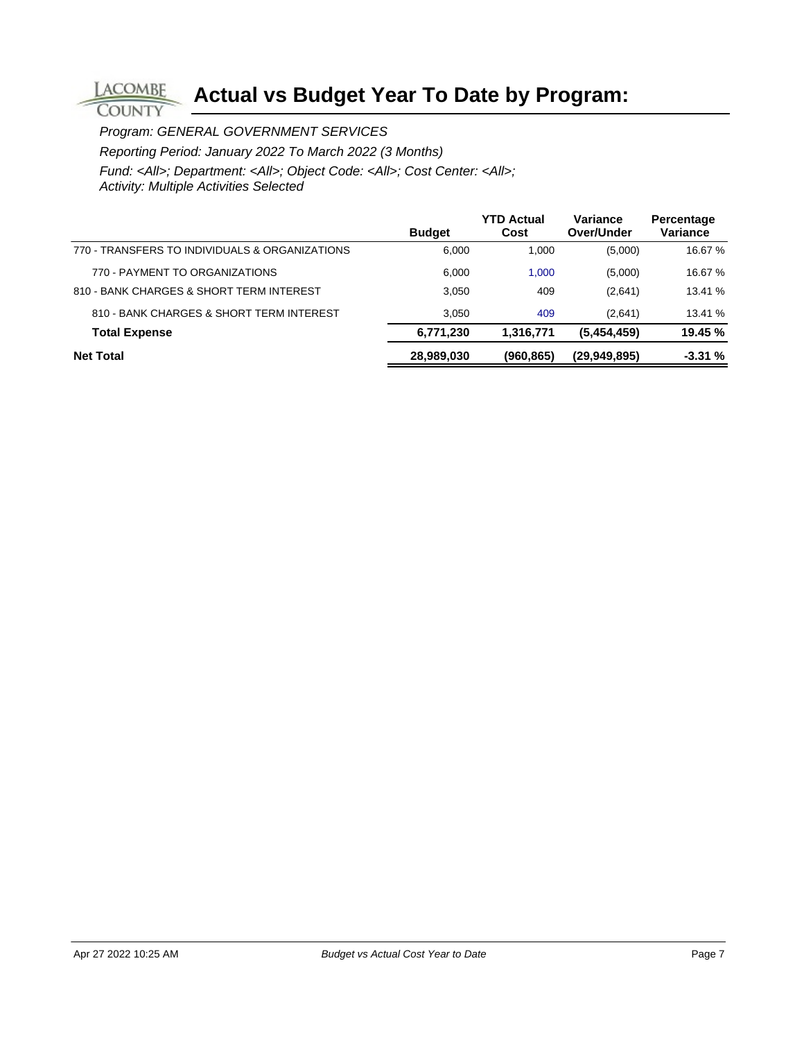Program: GENERAL GOVERNMENT SERVICES

**COUNTY** 

Reporting Period: January 2022 To March 2022 (3 Months)

|                                                | <b>Budget</b> | <b>YTD Actual</b><br>Cost | Variance<br>Over/Under | Percentage<br>Variance |
|------------------------------------------------|---------------|---------------------------|------------------------|------------------------|
| 770 - TRANSFERS TO INDIVIDUALS & ORGANIZATIONS | 6,000         | 1.000                     | (5,000)                | 16.67 %                |
| 770 - PAYMENT TO ORGANIZATIONS                 | 6,000         | 1.000                     | (5,000)                | 16.67 %                |
| 810 - BANK CHARGES & SHORT TERM INTEREST       | 3.050         | 409                       | (2,641)                | 13.41 %                |
| 810 - BANK CHARGES & SHORT TERM INTEREST       | 3.050         | 409                       | (2,641)                | 13.41 %                |
| <b>Total Expense</b>                           | 6,771,230     | 1,316,771                 | (5,454,459)            | 19.45 %                |
| <b>Net Total</b>                               | 28,989,030    | (960, 865)                | (29,949,895)           | $-3.31%$               |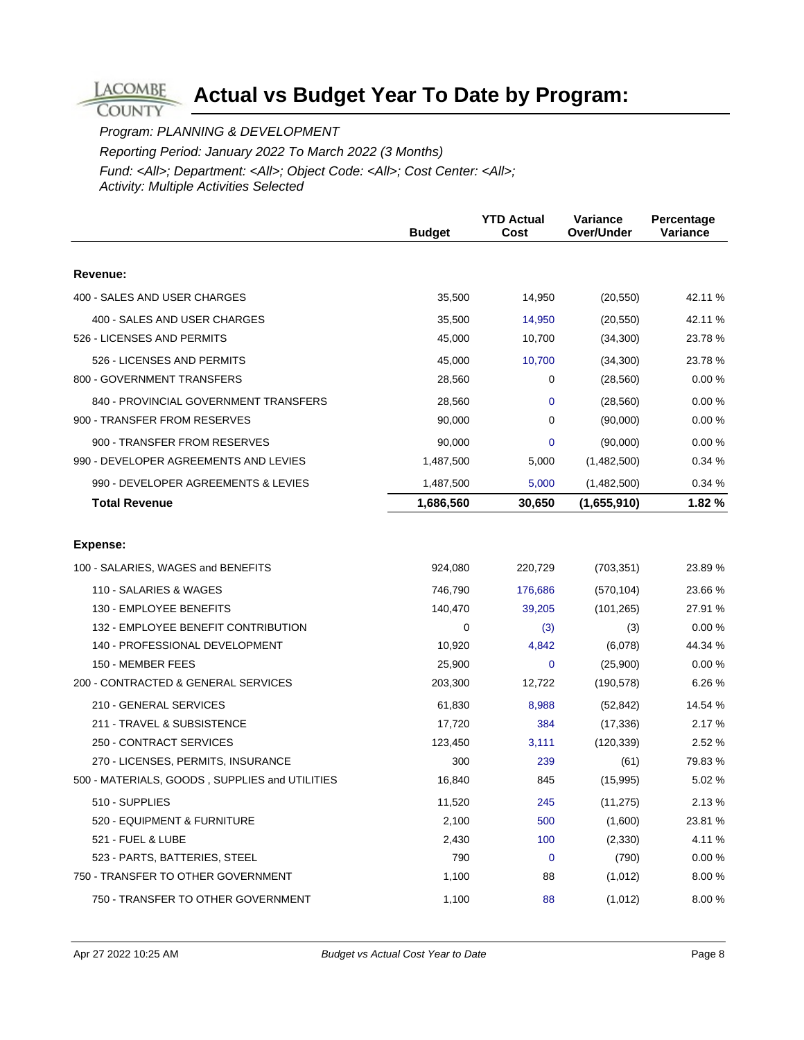Program: PLANNING & DEVELOPMENT

**LACOMBE COUNTY** 

Reporting Period: January 2022 To March 2022 (3 Months)

|                                                | <b>Budget</b> | <b>YTD Actual</b><br>Cost | Variance<br>Over/Under | Percentage<br>Variance |
|------------------------------------------------|---------------|---------------------------|------------------------|------------------------|
|                                                |               |                           |                        |                        |
| Revenue:                                       |               |                           |                        |                        |
| 400 - SALES AND USER CHARGES                   | 35,500        | 14,950                    | (20, 550)              | 42.11 %                |
| 400 - SALES AND USER CHARGES                   | 35,500        | 14,950                    | (20, 550)              | 42.11 %                |
| 526 - LICENSES AND PERMITS                     | 45,000        | 10,700                    | (34,300)               | 23.78 %                |
| 526 - LICENSES AND PERMITS                     | 45,000        | 10,700                    | (34, 300)              | 23.78 %                |
| 800 - GOVERNMENT TRANSFERS                     | 28,560        | 0                         | (28, 560)              | 0.00%                  |
| 840 - PROVINCIAL GOVERNMENT TRANSFERS          | 28,560        | 0                         | (28, 560)              | 0.00%                  |
| 900 - TRANSFER FROM RESERVES                   | 90,000        | 0                         | (90,000)               | 0.00%                  |
| 900 - TRANSFER FROM RESERVES                   | 90,000        | $\overline{0}$            | (90,000)               | 0.00%                  |
| 990 - DEVELOPER AGREEMENTS AND LEVIES          | 1,487,500     | 5,000                     | (1,482,500)            | 0.34%                  |
| 990 - DEVELOPER AGREEMENTS & LEVIES            | 1,487,500     | 5,000                     | (1,482,500)            | 0.34%                  |
| <b>Total Revenue</b>                           | 1,686,560     | 30,650                    | (1,655,910)            | 1.82 %                 |
|                                                |               |                           |                        |                        |
| <b>Expense:</b>                                |               |                           |                        |                        |
| 100 - SALARIES, WAGES and BENEFITS             | 924,080       | 220,729                   | (703, 351)             | 23.89 %                |
| 110 - SALARIES & WAGES                         | 746,790       | 176,686                   | (570, 104)             | 23.66 %                |
| 130 - EMPLOYEE BENEFITS                        | 140,470       | 39,205                    | (101, 265)             | 27.91 %                |
| 132 - EMPLOYEE BENEFIT CONTRIBUTION            | 0             | (3)                       | (3)                    | 0.00%                  |
| 140 - PROFESSIONAL DEVELOPMENT                 | 10,920        | 4,842                     | (6,078)                | 44.34 %                |
| 150 - MEMBER FEES                              | 25,900        | 0                         | (25,900)               | 0.00%                  |
| 200 - CONTRACTED & GENERAL SERVICES            | 203,300       | 12,722                    | (190, 578)             | 6.26 %                 |
| 210 - GENERAL SERVICES                         | 61,830        | 8,988                     | (52, 842)              | 14.54 %                |
| 211 - TRAVEL & SUBSISTENCE                     | 17,720        | 384                       | (17, 336)              | 2.17 %                 |
| 250 - CONTRACT SERVICES                        | 123,450       | 3,111                     | (120, 339)             | 2.52 %                 |
| 270 - LICENSES, PERMITS, INSURANCE             | 300           | 239                       | (61)                   | 79.83 %                |
| 500 - MATERIALS, GOODS, SUPPLIES and UTILITIES | 16,840        | 845                       | (15,995)               | 5.02 %                 |
| 510 - SUPPLIES                                 | 11,520        | 245                       | (11, 275)              | 2.13%                  |
| 520 - EQUIPMENT & FURNITURE                    | 2,100         | 500                       | (1,600)                | 23.81 %                |
| 521 - FUEL & LUBE                              | 2,430         | 100                       | (2,330)                | 4.11 %                 |
| 523 - PARTS, BATTERIES, STEEL                  | 790           | 0                         | (790)                  | 0.00%                  |
| 750 - TRANSFER TO OTHER GOVERNMENT             | 1,100         | 88                        | (1,012)                | 8.00 %                 |
| 750 - TRANSFER TO OTHER GOVERNMENT             | 1,100         | 88                        | (1,012)                | 8.00%                  |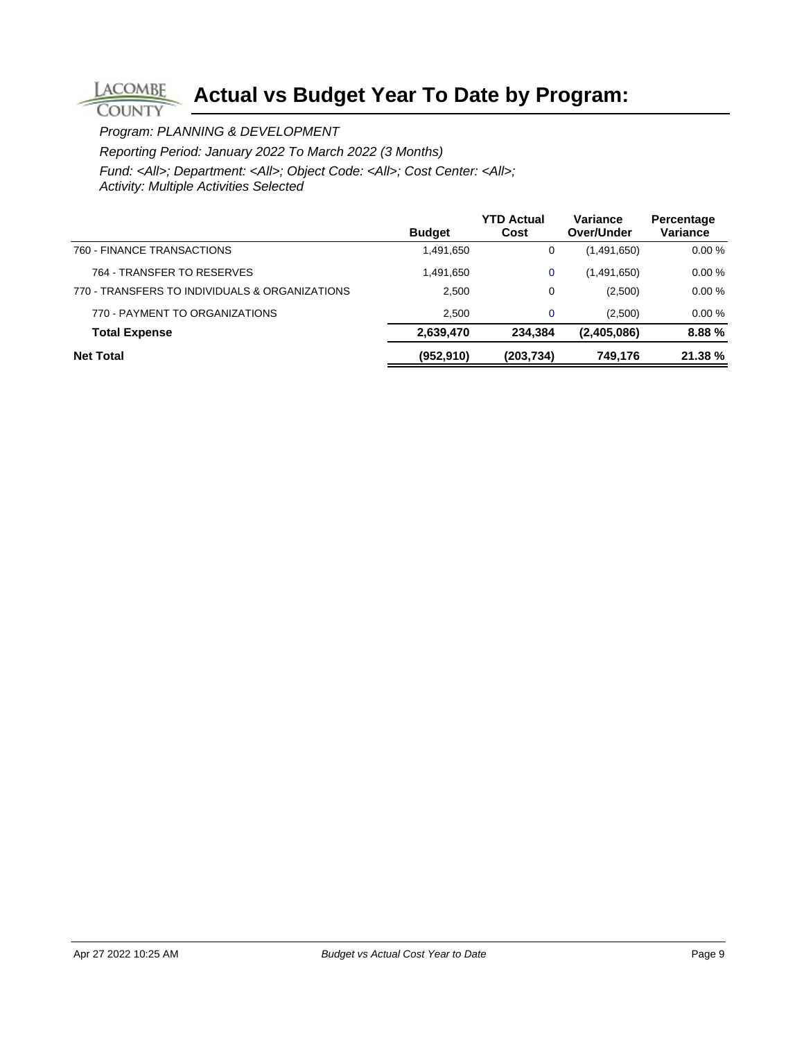Program: PLANNING & DEVELOPMENT

**LACOMBE COUNTY** 

Reporting Period: January 2022 To March 2022 (3 Months)

|                                                | <b>Budget</b> | <b>YTD Actual</b><br>Cost | Variance<br>Over/Under | Percentage<br>Variance |
|------------------------------------------------|---------------|---------------------------|------------------------|------------------------|
| 760 - FINANCE TRANSACTIONS                     | 1,491,650     | 0                         | (1,491,650)            | 0.00%                  |
| 764 - TRANSFER TO RESERVES                     | 1,491,650     | 0                         | (1,491,650)            | 0.00%                  |
| 770 - TRANSFERS TO INDIVIDUALS & ORGANIZATIONS | 2,500         | 0                         | (2,500)                | 0.00%                  |
| 770 - PAYMENT TO ORGANIZATIONS                 | 2.500         | $\mathbf 0$               | (2,500)                | 0.00%                  |
| <b>Total Expense</b>                           | 2,639,470     | 234.384                   | (2,405,086)            | 8.88%                  |
| <b>Net Total</b>                               | (952, 910)    | (203,734)                 | 749,176                | 21.38%                 |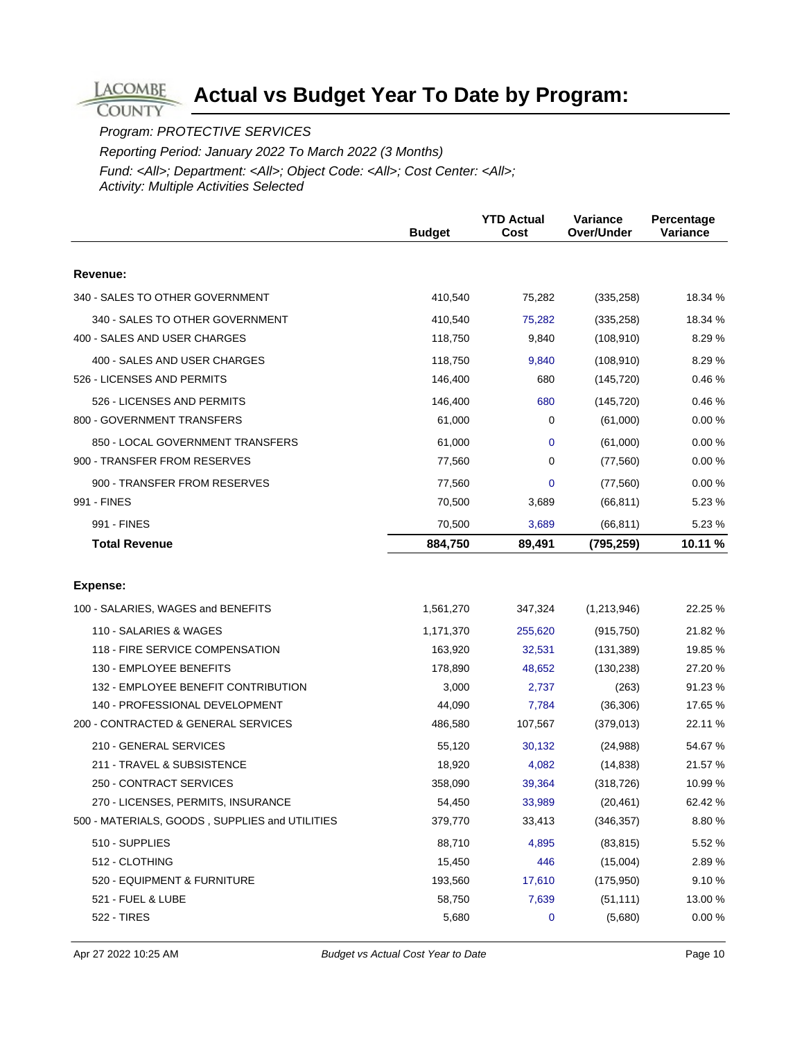Program: PROTECTIVE SERVICES

**LACOMBE COUNTY** 

Reporting Period: January 2022 To March 2022 (3 Months)

|                                                | <b>Budget</b> | <b>YTD Actual</b><br>Cost | Variance<br>Over/Under | Percentage<br>Variance |
|------------------------------------------------|---------------|---------------------------|------------------------|------------------------|
|                                                |               |                           |                        |                        |
| Revenue:                                       |               |                           |                        |                        |
| 340 - SALES TO OTHER GOVERNMENT                | 410,540       | 75,282                    | (335, 258)             | 18.34 %                |
| 340 - SALES TO OTHER GOVERNMENT                | 410,540       | 75,282                    | (335, 258)             | 18.34 %                |
| 400 - SALES AND USER CHARGES                   | 118,750       | 9,840                     | (108, 910)             | 8.29 %                 |
| 400 - SALES AND USER CHARGES                   | 118,750       | 9,840                     | (108, 910)             | 8.29 %                 |
| 526 - LICENSES AND PERMITS                     | 146,400       | 680                       | (145, 720)             | 0.46%                  |
| 526 - LICENSES AND PERMITS                     | 146,400       | 680                       | (145, 720)             | 0.46%                  |
| 800 - GOVERNMENT TRANSFERS                     | 61,000        | 0                         | (61,000)               | 0.00%                  |
| 850 - LOCAL GOVERNMENT TRANSFERS               | 61,000        | 0                         | (61,000)               | 0.00%                  |
| 900 - TRANSFER FROM RESERVES                   | 77,560        | 0                         | (77, 560)              | 0.00%                  |
| 900 - TRANSFER FROM RESERVES                   | 77,560        | 0                         | (77, 560)              | 0.00%                  |
| 991 - FINES                                    | 70,500        | 3,689                     | (66, 811)              | 5.23 %                 |
| 991 - FINES                                    | 70,500        | 3,689                     | (66, 811)              | 5.23 %                 |
| <b>Total Revenue</b>                           | 884,750       | 89,491                    | (795, 259)             | 10.11 %                |
|                                                |               |                           |                        |                        |
| Expense:                                       |               |                           |                        |                        |
| 100 - SALARIES, WAGES and BENEFITS             | 1,561,270     | 347,324                   | (1,213,946)            | 22.25 %                |
| 110 - SALARIES & WAGES                         | 1,171,370     | 255,620                   | (915, 750)             | 21.82 %                |
| 118 - FIRE SERVICE COMPENSATION                | 163,920       | 32,531                    | (131, 389)             | 19.85 %                |
| 130 - EMPLOYEE BENEFITS                        | 178,890       | 48,652                    | (130, 238)             | 27.20 %                |
| 132 - EMPLOYEE BENEFIT CONTRIBUTION            | 3,000         | 2,737                     | (263)                  | 91.23 %                |
| 140 - PROFESSIONAL DEVELOPMENT                 | 44,090        | 7,784                     | (36, 306)              | 17.65 %                |
| 200 - CONTRACTED & GENERAL SERVICES            | 486,580       | 107,567                   | (379, 013)             | 22.11 %                |
| 210 - GENERAL SERVICES                         | 55,120        | 30,132                    | (24, 988)              | 54.67 %                |
| 211 - TRAVEL & SUBSISTENCE                     | 18,920        | 4,082                     | (14, 838)              | 21.57 %                |
| 250 - CONTRACT SERVICES                        | 358,090       | 39,364                    | (318, 726)             | 10.99 %                |
| 270 - LICENSES, PERMITS, INSURANCE             | 54,450        | 33,989                    | (20, 461)              | 62.42 %                |
| 500 - MATERIALS, GOODS, SUPPLIES and UTILITIES | 379,770       | 33,413                    | (346, 357)             | 8.80 %                 |
| 510 - SUPPLIES                                 | 88,710        | 4,895                     | (83, 815)              | 5.52 %                 |
| 512 - CLOTHING                                 | 15,450        | 446                       | (15,004)               | 2.89%                  |
| 520 - EQUIPMENT & FURNITURE                    | 193,560       | 17,610                    | (175, 950)             | 9.10%                  |
| 521 - FUEL & LUBE                              | 58,750        | 7,639                     | (51, 111)              | 13.00 %                |
| <b>522 - TIRES</b>                             | 5,680         | 0                         | (5,680)                | 0.00%                  |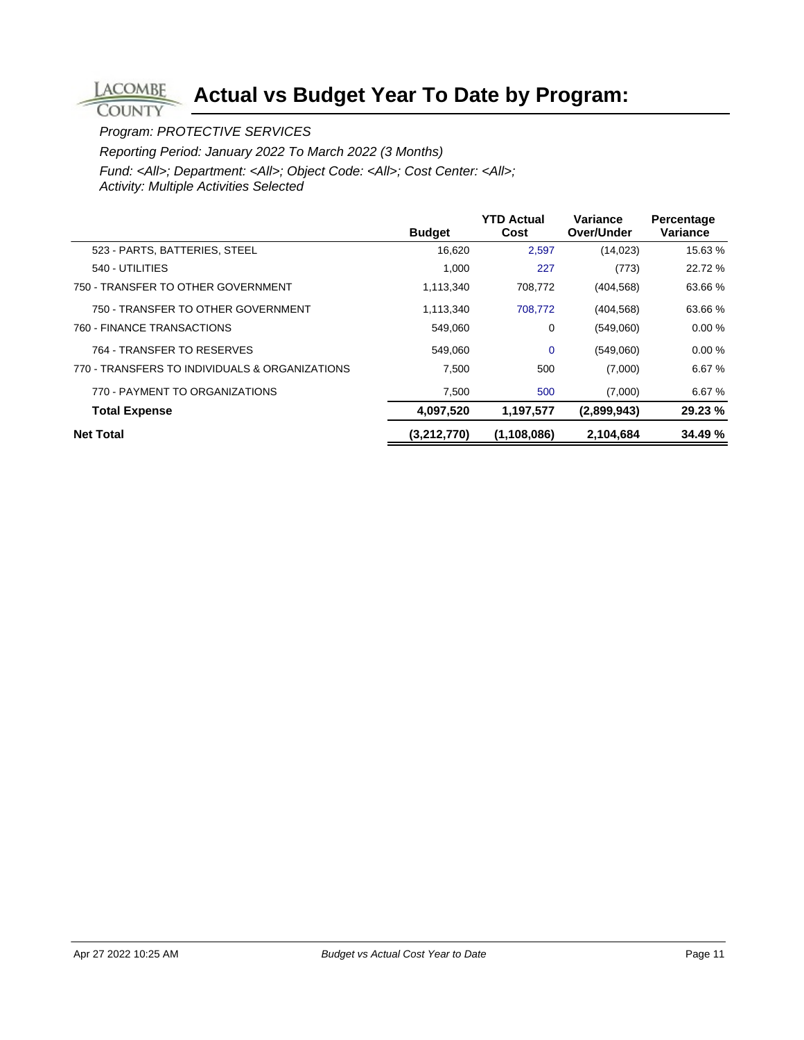#### Program: PROTECTIVE SERVICES

**LACOMBE COUNTY** 

Reporting Period: January 2022 To March 2022 (3 Months)

|                                                | <b>Budget</b> | <b>YTD Actual</b><br>Cost | <b>Variance</b><br>Over/Under | Percentage<br>Variance |
|------------------------------------------------|---------------|---------------------------|-------------------------------|------------------------|
| 523 - PARTS, BATTERIES, STEEL                  | 16,620        | 2,597                     | (14, 023)                     | 15.63 %                |
| 540 - UTILITIES                                | 1,000         | 227                       | (773)                         | 22.72 %                |
| 750 - TRANSFER TO OTHER GOVERNMENT             | 1,113,340     | 708,772                   | (404, 568)                    | 63.66 %                |
| 750 - TRANSFER TO OTHER GOVERNMENT             | 1.113.340     | 708.772                   | (404, 568)                    | 63.66 %                |
| 760 - FINANCE TRANSACTIONS                     | 549,060       | 0                         | (549,060)                     | 0.00%                  |
| 764 - TRANSFER TO RESERVES                     | 549.060       | $\mathbf 0$               | (549,060)                     | 0.00%                  |
| 770 - TRANSFERS TO INDIVIDUALS & ORGANIZATIONS | 7.500         | 500                       | (7,000)                       | 6.67 %                 |
| 770 - PAYMENT TO ORGANIZATIONS                 | 7,500         | 500                       | (7,000)                       | 6.67%                  |
| <b>Total Expense</b>                           | 4,097,520     | 1,197,577                 | (2,899,943)                   | 29.23 %                |
| <b>Net Total</b>                               | (3,212,770)   | (1, 108, 086)             | 2,104,684                     | 34.49 %                |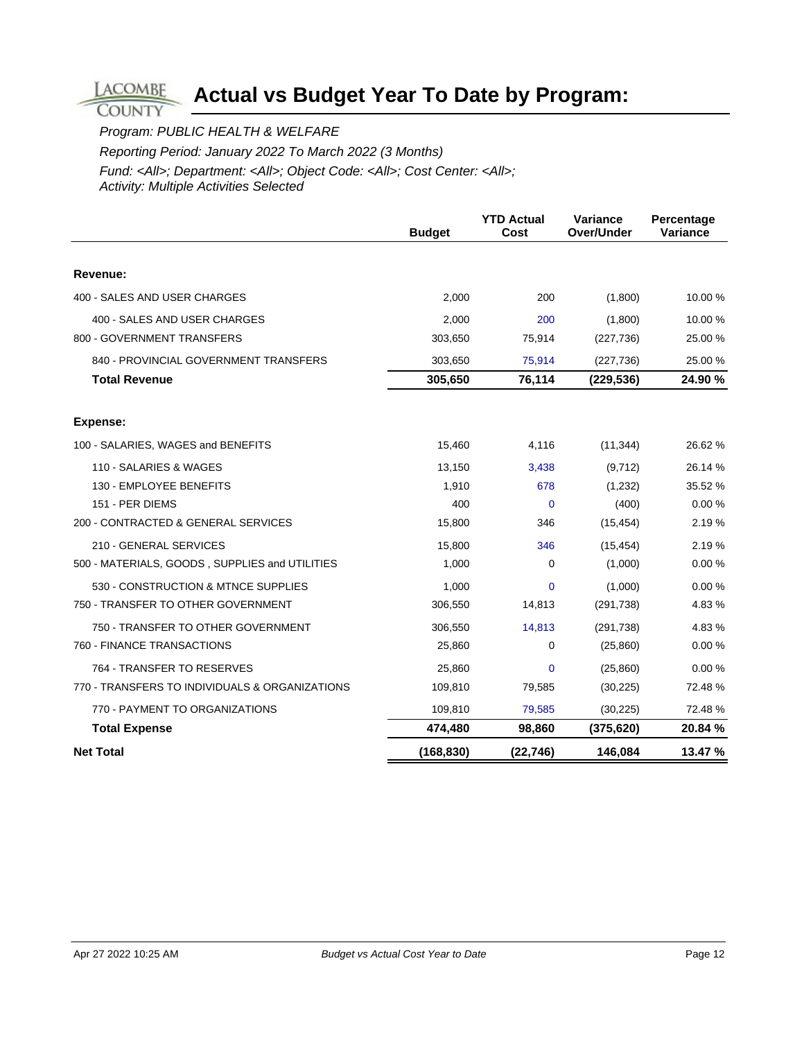#### Program: PUBLIC HEALTH & WELFARE

**LACOMBE COUNTY** 

Reporting Period: January 2022 To March 2022 (3 Months)

|                                                | <b>Budget</b> | <b>YTD Actual</b><br>Cost | Variance<br><b>Over/Under</b> | Percentage<br>Variance |
|------------------------------------------------|---------------|---------------------------|-------------------------------|------------------------|
|                                                |               |                           |                               |                        |
| Revenue:                                       |               |                           |                               |                        |
| 400 - SALES AND USER CHARGES                   | 2,000         | 200                       | (1,800)                       | 10.00 %                |
| 400 - SALES AND USER CHARGES                   | 2,000         | 200                       | (1,800)                       | 10.00 %                |
| 800 - GOVERNMENT TRANSFERS                     | 303,650       | 75,914                    | (227, 736)                    | 25.00 %                |
| 840 - PROVINCIAL GOVERNMENT TRANSFERS          | 303,650       | 75,914                    | (227, 736)                    | 25.00 %                |
| <b>Total Revenue</b>                           | 305,650       | 76,114                    | (229, 536)                    | 24.90 %                |
| Expense:                                       |               |                           |                               |                        |
| 100 - SALARIES, WAGES and BENEFITS             | 15,460        | 4,116                     | (11, 344)                     | 26.62 %                |
| 110 - SALARIES & WAGES                         | 13,150        | 3,438                     | (9,712)                       | 26.14 %                |
| 130 - EMPLOYEE BENEFITS                        | 1,910         | 678                       | (1,232)                       | 35.52 %                |
| 151 - PER DIEMS                                | 400           | $\Omega$                  | (400)                         | 0.00%                  |
| 200 - CONTRACTED & GENERAL SERVICES            | 15,800        | 346                       | (15, 454)                     | 2.19%                  |
| 210 - GENERAL SERVICES                         | 15,800        | 346                       | (15, 454)                     | 2.19%                  |
| 500 - MATERIALS, GOODS, SUPPLIES and UTILITIES | 1,000         | $\Omega$                  | (1,000)                       | 0.00%                  |
| 530 - CONSTRUCTION & MTNCE SUPPLIES            | 1,000         | $\Omega$                  | (1,000)                       | 0.00%                  |
| 750 - TRANSFER TO OTHER GOVERNMENT             | 306,550       | 14,813                    | (291, 738)                    | 4.83%                  |
| 750 - TRANSFER TO OTHER GOVERNMENT             | 306,550       | 14,813                    | (291, 738)                    | 4.83%                  |
| 760 - FINANCE TRANSACTIONS                     | 25,860        | 0                         | (25, 860)                     | 0.00%                  |
| 764 - TRANSFER TO RESERVES                     | 25,860        | 0                         | (25, 860)                     | 0.00%                  |
| 770 - TRANSFERS TO INDIVIDUALS & ORGANIZATIONS | 109,810       | 79,585                    | (30, 225)                     | 72.48 %                |
| 770 - PAYMENT TO ORGANIZATIONS                 | 109,810       | 79,585                    | (30, 225)                     | 72.48 %                |
| <b>Total Expense</b>                           | 474,480       | 98,860                    | (375, 620)                    | 20.84 %                |
| <b>Net Total</b>                               | (168, 830)    | (22, 746)                 | 146,084                       | 13.47 %                |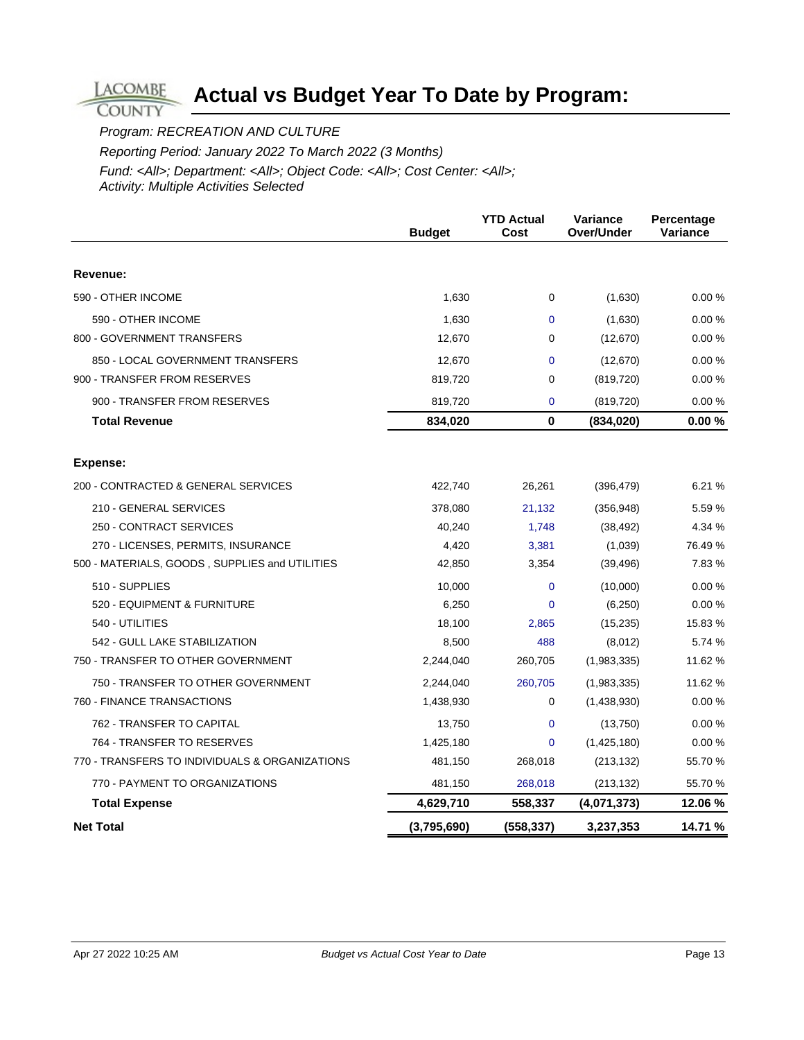Program: RECREATION AND CULTURE

**LACOMBE COUNTY** 

Reporting Period: January 2022 To March 2022 (3 Months)

|                                                | <b>Budget</b> | <b>YTD Actual</b><br>Cost | Variance<br>Over/Under | Percentage<br>Variance |
|------------------------------------------------|---------------|---------------------------|------------------------|------------------------|
|                                                |               |                           |                        |                        |
| Revenue:                                       |               |                           |                        |                        |
| 590 - OTHER INCOME                             | 1,630         | 0                         | (1,630)                | 0.00%                  |
| 590 - OTHER INCOME                             | 1,630         | 0                         | (1,630)                | 0.00%                  |
| 800 - GOVERNMENT TRANSFERS                     | 12,670        | 0                         | (12,670)               | 0.00%                  |
| 850 - LOCAL GOVERNMENT TRANSFERS               | 12,670        | $\Omega$                  | (12, 670)              | 0.00%                  |
| 900 - TRANSFER FROM RESERVES                   | 819,720       | $\Omega$                  | (819, 720)             | 0.00%                  |
| 900 - TRANSFER FROM RESERVES                   | 819,720       | $\mathbf 0$               | (819, 720)             | 0.00%                  |
| <b>Total Revenue</b>                           | 834,020       | $\bf{0}$                  | (834, 020)             | 0.00%                  |
| <b>Expense:</b>                                |               |                           |                        |                        |
| 200 - CONTRACTED & GENERAL SERVICES            | 422,740       | 26,261                    | (396, 479)             | 6.21 %                 |
| 210 - GENERAL SERVICES                         | 378,080       | 21,132                    | (356, 948)             | 5.59 %                 |
| 250 - CONTRACT SERVICES                        | 40,240        | 1,748                     | (38, 492)              | 4.34 %                 |
| 270 - LICENSES, PERMITS, INSURANCE             | 4,420         | 3,381                     | (1,039)                | 76.49 %                |
| 500 - MATERIALS, GOODS, SUPPLIES and UTILITIES | 42,850        | 3,354                     | (39, 496)              | 7.83 %                 |
| 510 - SUPPLIES                                 | 10,000        | $\mathbf{0}$              | (10,000)               | 0.00%                  |
| 520 - EQUIPMENT & FURNITURE                    | 6,250         | $\overline{0}$            | (6,250)                | 0.00%                  |
| 540 - UTILITIES                                | 18,100        | 2,865                     | (15, 235)              | 15.83 %                |
| 542 - GULL LAKE STABILIZATION                  | 8,500         | 488                       | (8,012)                | 5.74 %                 |
| 750 - TRANSFER TO OTHER GOVERNMENT             | 2,244,040     | 260,705                   | (1,983,335)            | 11.62 %                |
| 750 - TRANSFER TO OTHER GOVERNMENT             | 2,244,040     | 260,705                   | (1,983,335)            | 11.62 %                |
| 760 - FINANCE TRANSACTIONS                     | 1,438,930     | 0                         | (1,438,930)            | 0.00%                  |
| 762 - TRANSFER TO CAPITAL                      | 13,750        | 0                         | (13,750)               | 0.00%                  |
| 764 - TRANSFER TO RESERVES                     | 1,425,180     | $\Omega$                  | (1,425,180)            | 0.00%                  |
| 770 - TRANSFERS TO INDIVIDUALS & ORGANIZATIONS | 481,150       | 268,018                   | (213, 132)             | 55.70 %                |
| 770 - PAYMENT TO ORGANIZATIONS                 | 481,150       | 268,018                   | (213, 132)             | 55.70 %                |
| <b>Total Expense</b>                           | 4,629,710     | 558,337                   | (4,071,373)            | 12.06 %                |
| <b>Net Total</b>                               | (3,795,690)   | (558, 337)                | 3,237,353              | 14.71 %                |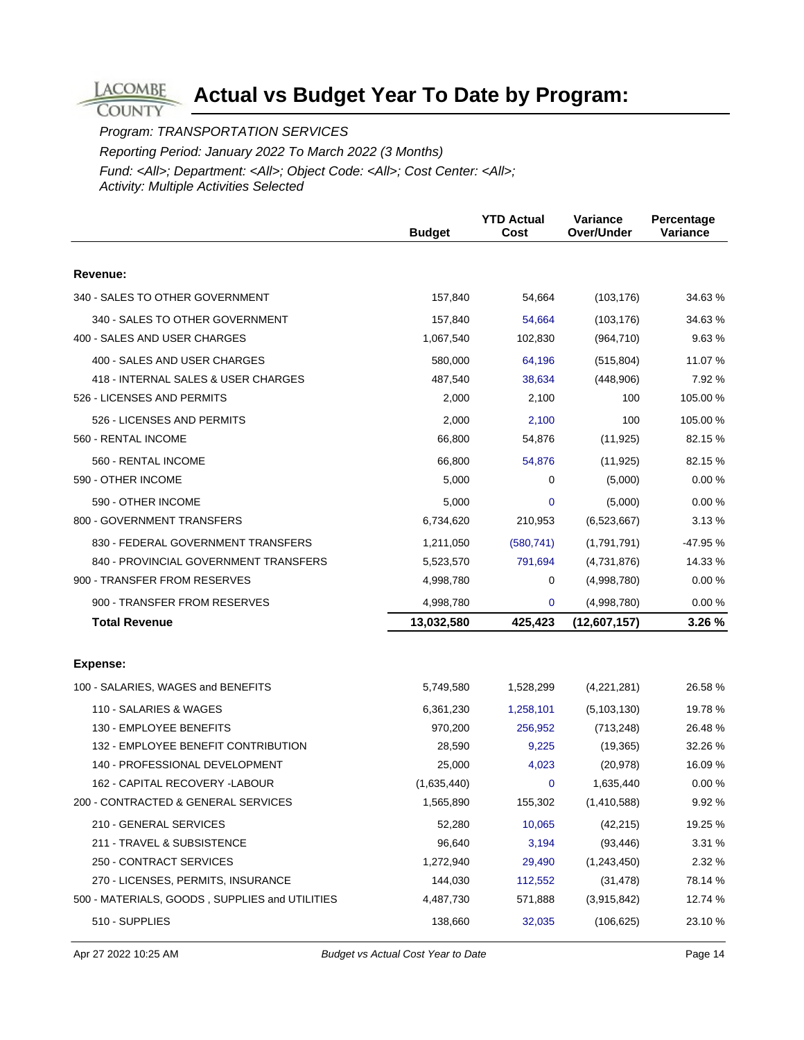Program: TRANSPORTATION SERVICES

**LACOMBE COUNTY** 

Reporting Period: January 2022 To March 2022 (3 Months)

|                                                                   | <b>Budget</b>    | <b>YTD Actual</b><br>Cost | Variance<br>Over/Under | Percentage<br><b>Variance</b> |
|-------------------------------------------------------------------|------------------|---------------------------|------------------------|-------------------------------|
| Revenue:                                                          |                  |                           |                        |                               |
| 340 - SALES TO OTHER GOVERNMENT                                   | 157,840          | 54,664                    | (103, 176)             | 34.63 %                       |
| 340 - SALES TO OTHER GOVERNMENT                                   | 157,840          | 54,664                    | (103, 176)             | 34.63 %                       |
| 400 - SALES AND USER CHARGES                                      | 1,067,540        | 102,830                   | (964, 710)             | 9.63%                         |
|                                                                   |                  |                           |                        |                               |
| 400 - SALES AND USER CHARGES                                      | 580,000          | 64,196                    | (515, 804)             | 11.07 %                       |
| 418 - INTERNAL SALES & USER CHARGES<br>526 - LICENSES AND PERMITS | 487,540<br>2,000 | 38,634<br>2,100           | (448,906)<br>100       | 7.92 %<br>105.00 %            |
|                                                                   |                  |                           |                        |                               |
| 526 - LICENSES AND PERMITS                                        | 2,000            | 2,100                     | 100                    | 105.00 %                      |
| 560 - RENTAL INCOME                                               | 66,800           | 54,876                    | (11, 925)              | 82.15 %                       |
| 560 - RENTAL INCOME                                               | 66,800           | 54,876                    | (11, 925)              | 82.15 %                       |
| 590 - OTHER INCOME                                                | 5,000            | 0                         | (5,000)                | 0.00%                         |
| 590 - OTHER INCOME                                                | 5,000            | 0                         | (5,000)                | 0.00%                         |
| 800 - GOVERNMENT TRANSFERS                                        | 6,734,620        | 210,953                   | (6,523,667)            | 3.13%                         |
| 830 - FEDERAL GOVERNMENT TRANSFERS                                | 1,211,050        | (580, 741)                | (1,791,791)            | $-47.95%$                     |
| 840 - PROVINCIAL GOVERNMENT TRANSFERS                             | 5,523,570        | 791,694                   | (4,731,876)            | 14.33 %                       |
| 900 - TRANSFER FROM RESERVES                                      | 4,998,780        | 0                         | (4,998,780)            | 0.00%                         |
| 900 - TRANSFER FROM RESERVES                                      | 4,998,780        | 0                         | (4,998,780)            | 0.00%                         |
| <b>Total Revenue</b>                                              | 13,032,580       | 425,423                   | (12,607,157)           | 3.26 %                        |
|                                                                   |                  |                           |                        |                               |
| Expense:                                                          |                  |                           |                        |                               |
| 100 - SALARIES, WAGES and BENEFITS                                | 5,749,580        | 1,528,299                 | (4,221,281)            | 26.58 %                       |
| 110 - SALARIES & WAGES                                            | 6,361,230        | 1,258,101                 | (5, 103, 130)          | 19.78 %                       |
| 130 - EMPLOYEE BENEFITS                                           | 970,200          | 256,952                   | (713, 248)             | 26.48%                        |
| 132 - EMPLOYEE BENEFIT CONTRIBUTION                               | 28,590           | 9,225                     | (19, 365)              | 32.26 %                       |
| 140 - PROFESSIONAL DEVELOPMENT                                    | 25,000           | 4,023                     | (20, 978)              | 16.09 %                       |
| 162 - CAPITAL RECOVERY -LABOUR                                    | (1,635,440)      | 0                         | 1,635,440              | 0.00%                         |
| 200 - CONTRACTED & GENERAL SERVICES                               | 1,565,890        | 155,302                   | (1,410,588)            | 9.92 %                        |
| 210 - GENERAL SERVICES                                            | 52,280           | 10,065                    | (42, 215)              | 19.25 %                       |
| 211 - TRAVEL & SUBSISTENCE                                        | 96,640           | 3,194                     | (93, 446)              | 3.31 %                        |
| 250 - CONTRACT SERVICES                                           | 1,272,940        | 29,490                    | (1,243,450)            | 2.32 %                        |
| 270 - LICENSES, PERMITS, INSURANCE                                | 144,030          | 112,552                   | (31, 478)              | 78.14 %                       |
| 500 - MATERIALS, GOODS, SUPPLIES and UTILITIES                    | 4,487,730        | 571,888                   | (3,915,842)            | 12.74 %                       |
| 510 - SUPPLIES                                                    | 138,660          | 32,035                    | (106, 625)             | 23.10 %                       |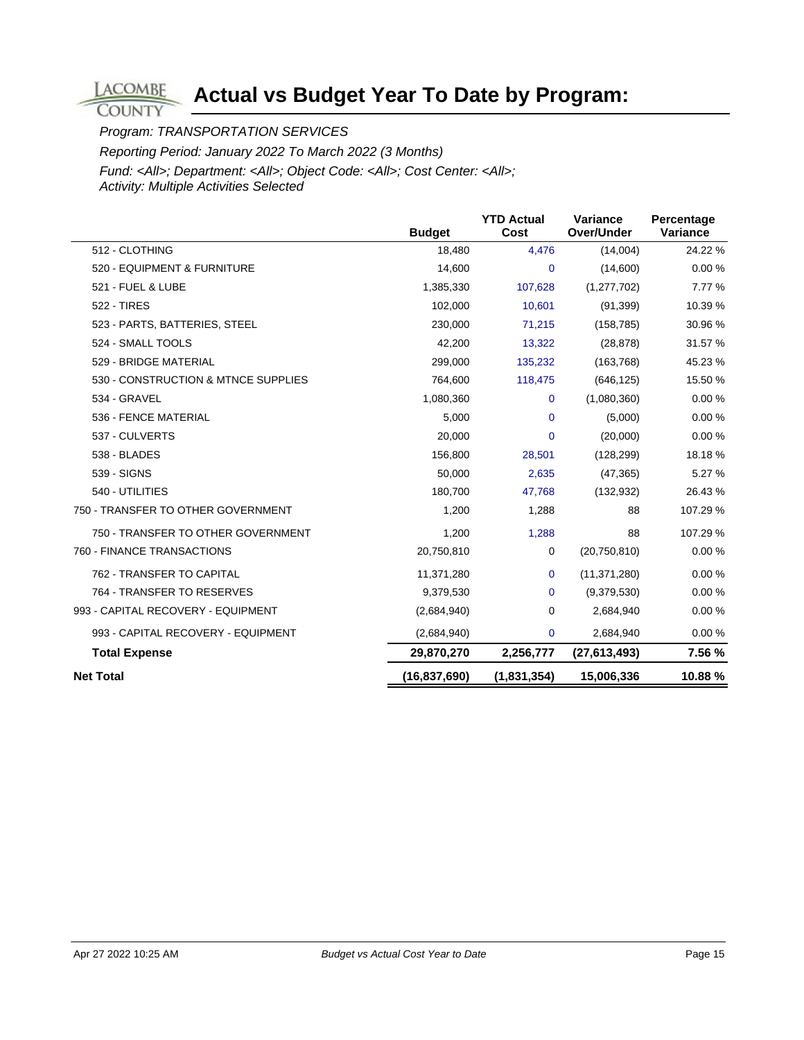Program: TRANSPORTATION SERVICES

**LACOMBE COUNTY** 

Reporting Period: January 2022 To March 2022 (3 Months)

|                                     | <b>Budget</b>  | <b>YTD Actual</b><br>Cost | Variance<br>Over/Under | Percentage<br>Variance |
|-------------------------------------|----------------|---------------------------|------------------------|------------------------|
| 512 - CLOTHING                      | 18,480         | 4,476                     | (14,004)               | 24.22 %                |
| 520 - EQUIPMENT & FURNITURE         | 14,600         | $\mathbf 0$               | (14,600)               | 0.00%                  |
| 521 - FUEL & LUBE                   | 1,385,330      | 107,628                   | (1,277,702)            | 7.77 %                 |
| <b>522 - TIRES</b>                  | 102,000        | 10,601                    | (91, 399)              | 10.39 %                |
| 523 - PARTS, BATTERIES, STEEL       | 230,000        | 71,215                    | (158, 785)             | 30.96 %                |
| 524 - SMALL TOOLS                   | 42,200         | 13,322                    | (28, 878)              | 31.57 %                |
| 529 - BRIDGE MATERIAL               | 299,000        | 135,232                   | (163, 768)             | 45.23 %                |
| 530 - CONSTRUCTION & MTNCE SUPPLIES | 764,600        | 118,475                   | (646, 125)             | 15.50 %                |
| 534 - GRAVEL                        | 1,080,360      | $\mathbf 0$               | (1,080,360)            | 0.00%                  |
| 536 - FENCE MATERIAL                | 5,000          | $\mathbf 0$               | (5,000)                | 0.00%                  |
| 537 - CULVERTS                      | 20,000         | $\mathbf 0$               | (20,000)               | 0.00%                  |
| 538 - BLADES                        | 156,800        | 28,501                    | (128, 299)             | 18.18%                 |
| 539 - SIGNS                         | 50,000         | 2,635                     | (47, 365)              | 5.27 %                 |
| 540 - UTILITIES                     | 180,700        | 47,768                    | (132, 932)             | 26.43 %                |
| 750 - TRANSFER TO OTHER GOVERNMENT  | 1,200          | 1,288                     | 88                     | 107.29 %               |
| 750 - TRANSFER TO OTHER GOVERNMENT  | 1,200          | 1,288                     | 88                     | 107.29 %               |
| 760 - FINANCE TRANSACTIONS          | 20,750,810     | 0                         | (20, 750, 810)         | 0.00%                  |
| 762 - TRANSFER TO CAPITAL           | 11,371,280     | $\mathbf 0$               | (11, 371, 280)         | 0.00%                  |
| 764 - TRANSFER TO RESERVES          | 9,379,530      | $\mathbf 0$               | (9,379,530)            | 0.00%                  |
| 993 - CAPITAL RECOVERY - EQUIPMENT  | (2,684,940)    | 0                         | 2,684,940              | 0.00%                  |
| 993 - CAPITAL RECOVERY - EQUIPMENT  | (2,684,940)    | $\mathbf 0$               | 2,684,940              | 0.00%                  |
| <b>Total Expense</b>                | 29,870,270     | 2,256,777                 | (27, 613, 493)         | 7.56 %                 |
| <b>Net Total</b>                    | (16, 837, 690) | (1,831,354)               | 15,006,336             | 10.88%                 |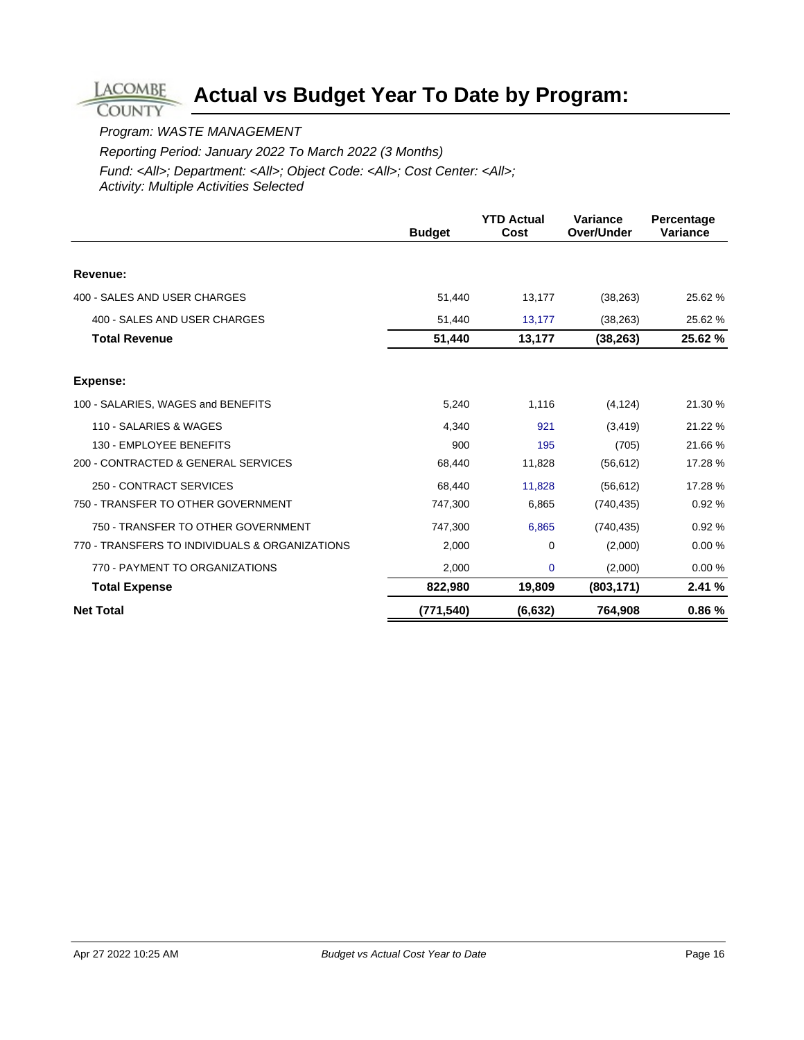#### Program: WASTE MANAGEMENT

**LACOMBE COUNTY** 

Reporting Period: January 2022 To March 2022 (3 Months)

|                                                | <b>Budget</b> | <b>YTD Actual</b><br>Cost | <b>Variance</b><br>Over/Under | Percentage<br><b>Variance</b> |
|------------------------------------------------|---------------|---------------------------|-------------------------------|-------------------------------|
|                                                |               |                           |                               |                               |
| Revenue:                                       |               |                           |                               |                               |
| 400 - SALES AND USER CHARGES                   | 51,440        | 13,177                    | (38, 263)                     | 25.62 %                       |
| 400 - SALES AND USER CHARGES                   | 51,440        | 13,177                    | (38, 263)                     | 25.62 %                       |
| <b>Total Revenue</b>                           | 51,440        | 13,177                    | (38, 263)                     | 25.62 %                       |
| <b>Expense:</b>                                |               |                           |                               |                               |
| 100 - SALARIES, WAGES and BENEFITS             | 5,240         | 1,116                     | (4, 124)                      | 21.30 %                       |
| 110 - SALARIES & WAGES                         | 4.340         | 921                       | (3, 419)                      | 21.22 %                       |
| 130 - EMPLOYEE BENEFITS                        | 900           | 195                       | (705)                         | 21.66 %                       |
| 200 - CONTRACTED & GENERAL SERVICES            | 68,440        | 11,828                    | (56, 612)                     | 17.28 %                       |
| 250 - CONTRACT SERVICES                        | 68,440        | 11,828                    | (56, 612)                     | 17.28 %                       |
| 750 - TRANSFER TO OTHER GOVERNMENT             | 747,300       | 6,865                     | (740, 435)                    | 0.92%                         |
| 750 - TRANSFER TO OTHER GOVERNMENT             | 747,300       | 6,865                     | (740, 435)                    | 0.92%                         |
| 770 - TRANSFERS TO INDIVIDUALS & ORGANIZATIONS | 2,000         | $\Omega$                  | (2,000)                       | 0.00%                         |
| 770 - PAYMENT TO ORGANIZATIONS                 | 2,000         | $\mathbf 0$               | (2,000)                       | 0.00%                         |
| <b>Total Expense</b>                           | 822,980       | 19,809                    | (803, 171)                    | 2.41%                         |
| <b>Net Total</b>                               | (771, 540)    | (6, 632)                  | 764,908                       | 0.86%                         |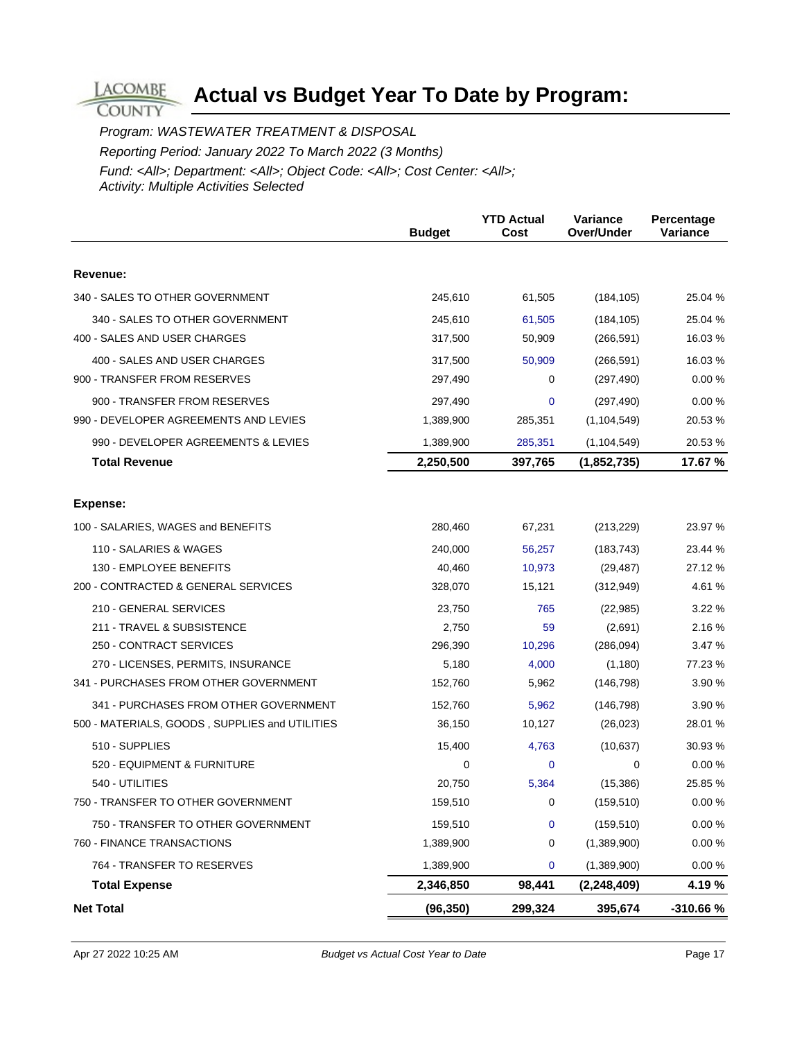Program: WASTEWATER TREATMENT & DISPOSAL Reporting Period: January 2022 To March 2022 (3 Months) Fund: <All>; Department: <All>; Object Code: <All>; Cost Center: <All>; Activity: Multiple Activities Selected

**LACOMBE COUNTY** 

|                                                | <b>Budget</b>     | <b>YTD Actual</b><br>Cost | Variance<br>Over/Under  | Percentage<br>Variance |
|------------------------------------------------|-------------------|---------------------------|-------------------------|------------------------|
|                                                |                   |                           |                         |                        |
| Revenue:                                       |                   |                           |                         |                        |
| 340 - SALES TO OTHER GOVERNMENT                | 245,610           | 61,505                    | (184, 105)              | 25.04 %                |
| 340 - SALES TO OTHER GOVERNMENT                | 245,610           | 61,505                    | (184, 105)              | 25.04 %                |
| 400 - SALES AND USER CHARGES                   | 317,500           | 50,909                    | (266, 591)              | 16.03%                 |
| 400 - SALES AND USER CHARGES                   | 317,500           | 50,909                    | (266, 591)              | 16.03%                 |
| 900 - TRANSFER FROM RESERVES                   | 297,490           | 0                         | (297, 490)              | 0.00%                  |
| 900 - TRANSFER FROM RESERVES                   | 297,490           | 0                         | (297, 490)              | 0.00%                  |
| 990 - DEVELOPER AGREEMENTS AND LEVIES          | 1,389,900         | 285,351                   | (1, 104, 549)           | 20.53 %                |
| 990 - DEVELOPER AGREEMENTS & LEVIES            | 1,389,900         | 285,351                   | (1, 104, 549)           | 20.53 %                |
| <b>Total Revenue</b>                           | 2,250,500         | 397,765                   | (1,852,735)             | 17.67 %                |
| <b>Expense:</b>                                |                   |                           |                         |                        |
| 100 - SALARIES, WAGES and BENEFITS             | 280,460           | 67,231                    | (213, 229)              | 23.97 %                |
| 110 - SALARIES & WAGES                         |                   |                           |                         | 23.44 %                |
| 130 - EMPLOYEE BENEFITS                        | 240,000<br>40,460 | 56,257<br>10,973          | (183, 743)<br>(29, 487) | 27.12 %                |
| 200 - CONTRACTED & GENERAL SERVICES            | 328,070           | 15,121                    | (312, 949)              | 4.61%                  |
| 210 - GENERAL SERVICES                         | 23,750            | 765                       | (22, 985)               | 3.22 %                 |
| 211 - TRAVEL & SUBSISTENCE                     | 2,750             | 59                        | (2,691)                 | 2.16 %                 |
| 250 - CONTRACT SERVICES                        | 296,390           | 10,296                    | (286,094)               | 3.47 %                 |
| 270 - LICENSES, PERMITS, INSURANCE             | 5,180             | 4,000                     | (1, 180)                | 77.23 %                |
| 341 - PURCHASES FROM OTHER GOVERNMENT          | 152,760           | 5,962                     | (146, 798)              | 3.90 %                 |
| 341 - PURCHASES FROM OTHER GOVERNMENT          | 152,760           | 5,962                     | (146, 798)              | 3.90 %                 |
| 500 - MATERIALS, GOODS, SUPPLIES and UTILITIES | 36,150            | 10,127                    | (26, 023)               | 28.01 %                |
| 510 - SUPPLIES                                 | 15,400            | 4,763                     | (10, 637)               | 30.93 %                |
| 520 - EQUIPMENT & FURNITURE                    | 0                 | 0                         | 0                       | 0.00%                  |
| 540 - UTILITIES                                | 20,750            | 5,364                     | (15, 386)               | 25.85 %                |
| 750 - TRANSFER TO OTHER GOVERNMENT             | 159,510           | $\Omega$                  | (159, 510)              | 0.00 %                 |
| 750 - TRANSFER TO OTHER GOVERNMENT             | 159,510           | 0                         | (159, 510)              | 0.00%                  |
| 760 - FINANCE TRANSACTIONS                     | 1,389,900         | 0                         | (1,389,900)             | $0.00 \%$              |
| 764 - TRANSFER TO RESERVES                     | 1,389,900         | 0                         | (1,389,900)             | 0.00 %                 |
| <b>Total Expense</b>                           | 2,346,850         | 98,441                    | (2, 248, 409)           | 4.19 %                 |
| <b>Net Total</b>                               | (96, 350)         | 299,324                   | 395,674                 | -310.66%               |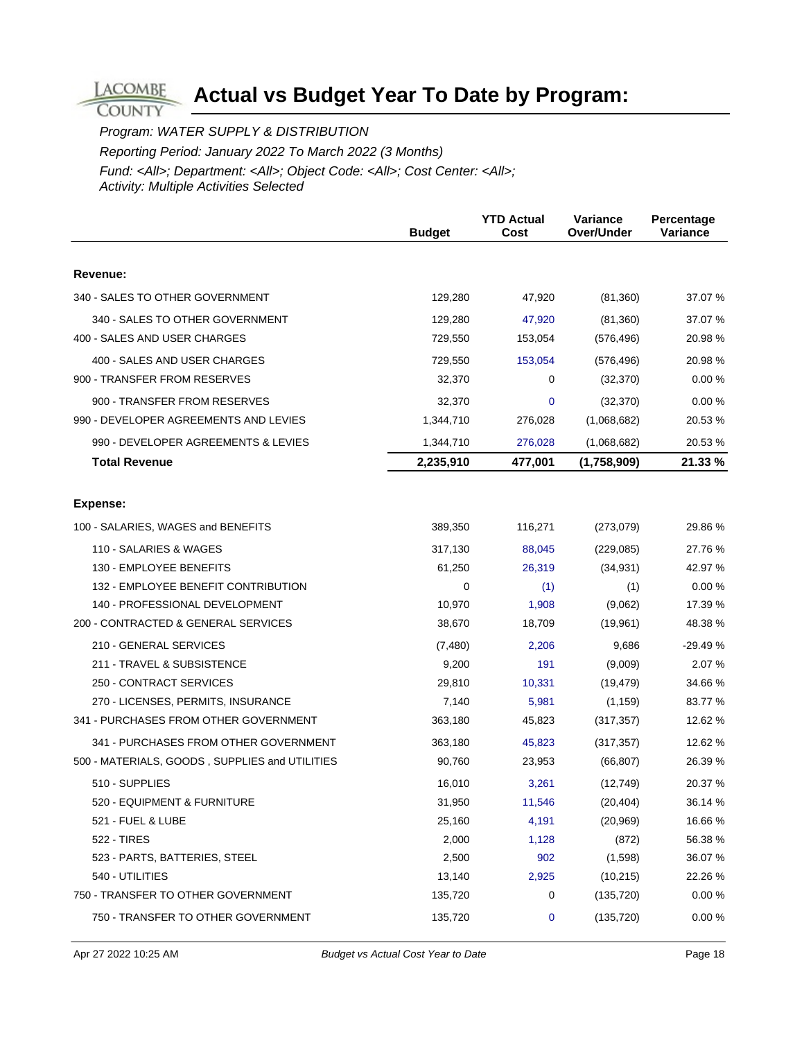**COUNTY** Program: WATER SUPPLY & DISTRIBUTION

**LACOMBE** 

Reporting Period: January 2022 To March 2022 (3 Months)

|                                                | <b>Budget</b> | <b>YTD Actual</b><br>Cost | Variance<br>Over/Under | Percentage<br><b>Variance</b> |
|------------------------------------------------|---------------|---------------------------|------------------------|-------------------------------|
|                                                |               |                           |                        |                               |
| Revenue:                                       |               |                           |                        |                               |
| 340 - SALES TO OTHER GOVERNMENT                | 129,280       | 47,920                    | (81, 360)              | 37.07 %                       |
| 340 - SALES TO OTHER GOVERNMENT                | 129,280       | 47,920                    | (81, 360)              | 37.07 %                       |
| 400 - SALES AND USER CHARGES                   | 729,550       | 153,054                   | (576, 496)             | 20.98 %                       |
| 400 - SALES AND USER CHARGES                   | 729,550       | 153,054                   | (576, 496)             | 20.98 %                       |
| 900 - TRANSFER FROM RESERVES                   | 32,370        | 0                         | (32, 370)              | 0.00%                         |
| 900 - TRANSFER FROM RESERVES                   | 32,370        | 0                         | (32, 370)              | 0.00%                         |
| 990 - DEVELOPER AGREEMENTS AND LEVIES          | 1,344,710     | 276,028                   | (1,068,682)            | 20.53 %                       |
| 990 - DEVELOPER AGREEMENTS & LEVIES            | 1,344,710     | 276,028                   | (1,068,682)            | 20.53 %                       |
| <b>Total Revenue</b>                           | 2,235,910     | 477,001                   | (1,758,909)            | 21.33 %                       |
|                                                |               |                           |                        |                               |
| <b>Expense:</b>                                |               |                           |                        |                               |
| 100 - SALARIES, WAGES and BENEFITS             | 389,350       | 116,271                   | (273,079)              | 29.86%                        |
| 110 - SALARIES & WAGES                         | 317,130       | 88,045                    | (229, 085)             | 27.76 %                       |
| 130 - EMPLOYEE BENEFITS                        | 61,250        | 26,319                    | (34, 931)              | 42.97 %                       |
| 132 - EMPLOYEE BENEFIT CONTRIBUTION            | 0             | (1)                       | (1)                    | 0.00%                         |
| 140 - PROFESSIONAL DEVELOPMENT                 | 10,970        | 1,908                     | (9,062)                | 17.39 %                       |
| 200 - CONTRACTED & GENERAL SERVICES            | 38,670        | 18,709                    | (19,961)               | 48.38 %                       |
| 210 - GENERAL SERVICES                         | (7,480)       | 2,206                     | 9,686                  | $-29.49%$                     |
| 211 - TRAVEL & SUBSISTENCE                     | 9,200         | 191                       | (9,009)                | 2.07 %                        |
| 250 - CONTRACT SERVICES                        | 29,810        | 10,331                    | (19, 479)              | 34.66 %                       |
| 270 - LICENSES, PERMITS, INSURANCE             | 7,140         | 5,981                     | (1, 159)               | 83.77 %                       |
| 341 - PURCHASES FROM OTHER GOVERNMENT          | 363,180       | 45,823                    | (317, 357)             | 12.62 %                       |
| 341 - PURCHASES FROM OTHER GOVERNMENT          | 363,180       | 45,823                    | (317, 357)             | 12.62 %                       |
| 500 - MATERIALS, GOODS, SUPPLIES and UTILITIES | 90,760        | 23,953                    | (66, 807)              | 26.39 %                       |
| 510 - SUPPLIES                                 | 16,010        | 3,261                     | (12, 749)              | 20.37 %                       |
| 520 - EQUIPMENT & FURNITURE                    | 31,950        | 11,546                    | (20, 404)              | 36.14 %                       |
| 521 - FUEL & LUBE                              | 25,160        | 4,191                     | (20, 969)              | 16.66 %                       |
| 522 - TIRES                                    | 2,000         | 1,128                     | (872)                  | 56.38 %                       |
| 523 - PARTS, BATTERIES, STEEL                  | 2,500         | 902                       | (1,598)                | 36.07%                        |
| 540 - UTILITIES                                | 13,140        | 2,925                     | (10, 215)              | 22.26 %                       |
| 750 - TRANSFER TO OTHER GOVERNMENT             | 135,720       | 0                         | (135, 720)             | 0.00%                         |
| 750 - TRANSFER TO OTHER GOVERNMENT             | 135,720       | 0                         | (135, 720)             | 0.00 %                        |